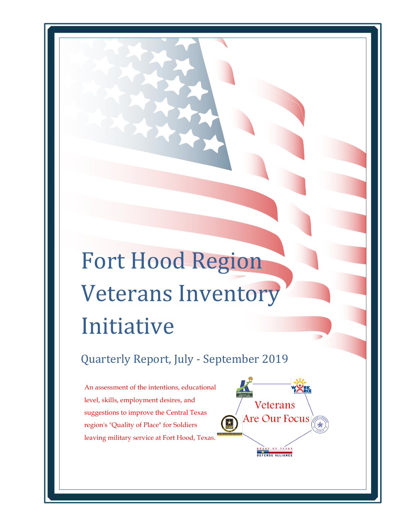# Fort Hood Region Veterans Inventory Initiative

Quarterly Report, July - September 2019

Veterans

Are Our Focus

An assessment of the intentions, educational level, skills, employment desires, and suggestions to improve the Central Texas region's "Quality of Place" for Soldiers leaving military service at Fort Hood, Texas.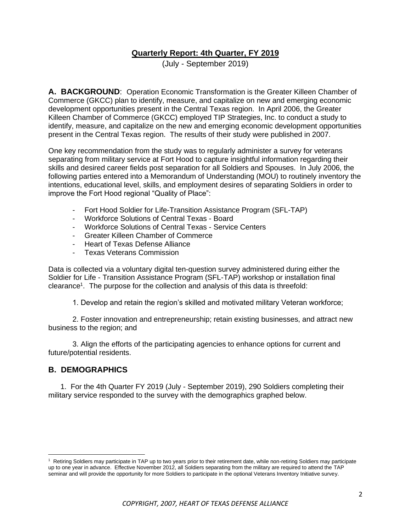## **Quarterly Report: 4th Quarter, FY 2019**

(July - September 2019)

**A. BACKGROUND**: Operation Economic Transformation is the Greater Killeen Chamber of Commerce (GKCC) plan to identify, measure, and capitalize on new and emerging economic development opportunities present in the Central Texas region. In April 2006, the Greater Killeen Chamber of Commerce (GKCC) employed TIP Strategies, Inc. to conduct a study to identify, measure, and capitalize on the new and emerging economic development opportunities present in the Central Texas region. The results of their study were published in 2007.

One key recommendation from the study was to regularly administer a survey for veterans separating from military service at Fort Hood to capture insightful information regarding their skills and desired career fields post separation for all Soldiers and Spouses. In July 2006, the following parties entered into a Memorandum of Understanding (MOU) to routinely inventory the intentions, educational level, skills, and employment desires of separating Soldiers in order to improve the Fort Hood regional "Quality of Place":

- Fort Hood Soldier for Life-Transition Assistance Program (SFL-TAP)
- Workforce Solutions of Central Texas Board
- Workforce Solutions of Central Texas Service Centers
- Greater Killeen Chamber of Commerce
- Heart of Texas Defense Alliance
- Texas Veterans Commission

Data is collected via a voluntary digital ten-question survey administered during either the Soldier for Life - Transition Assistance Program (SFL-TAP) workshop or installation final clearance<sup>1</sup>. The purpose for the collection and analysis of this data is threefold:

1. Develop and retain the region's skilled and motivated military Veteran workforce;

2. Foster innovation and entrepreneurship; retain existing businesses, and attract new business to the region; and

3. Align the efforts of the participating agencies to enhance options for current and future/potential residents.

#### **B. DEMOGRAPHICS**

1. For the 4th Quarter FY 2019 (July - September 2019), 290 Soldiers completing their military service responded to the survey with the demographics graphed below.

<sup>&</sup>lt;sup>1</sup> Retiring Soldiers may participate in TAP up to two years prior to their retirement date, while non-retiring Soldiers may participate up to one year in advance. Effective November 2012, all Soldiers separating from the military are required to attend the TAP seminar and will provide the opportunity for more Soldiers to participate in the optional Veterans Inventory Initiative survey.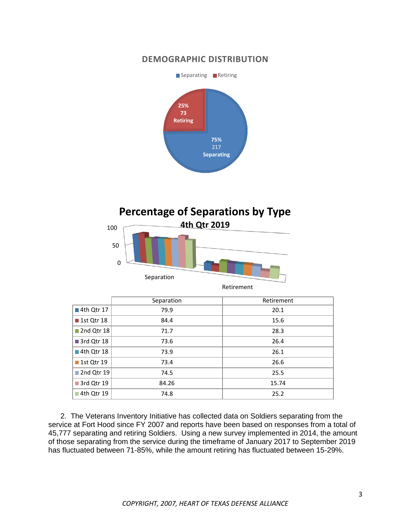# **DEMOGRAPHIC DISTRIBUTION**



# **Percentage of Separations by Type**



|              | Separation | Retirement |
|--------------|------------|------------|
| ■ 4th Qtr 17 | 79.9       | 20.1       |
| ■ 1st Qtr 18 | 84.4       | 15.6       |
| 2nd Qtr 18   | 71.7       | 28.3       |
| 3rd Qtr 18   | 73.6       | 26.4       |
| 4th Qtr 18   | 73.9       | 26.1       |
| ■ 1st Qtr 19 | 73.4       | 26.6       |
| 2nd Qtr 19   | 74.5       | 25.5       |
| 3rd Qtr 19   | 84.26      | 15.74      |
| 4th Qtr 19   | 74.8       | 25.2       |

2. The Veterans Inventory Initiative has collected data on Soldiers separating from the service at Fort Hood since FY 2007 and reports have been based on responses from a total of 45,777 separating and retiring Soldiers. Using a new survey implemented in 2014, the amount of those separating from the service during the timeframe of January 2017 to September 2019 has fluctuated between 71-85%, while the amount retiring has fluctuated between 15-29%.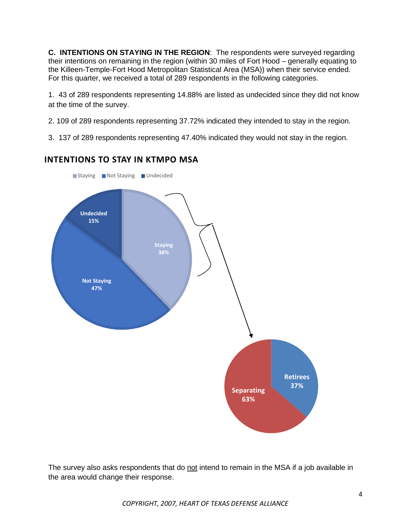**C. INTENTIONS ON STAYING IN THE REGION**: The respondents were surveyed regarding their intentions on remaining in the region (within 30 miles of Fort Hood – generally equating to the Killeen-Temple-Fort Hood Metropolitan Statistical Area (MSA)) when their service ended. For this quarter, we received a total of 289 respondents in the following categories.

1. 43 of 289 respondents representing 14.88% are listed as undecided since they did not know at the time of the survey.

2. 109 of 289 respondents representing 37.72% indicated they intended to stay in the region.

3. 137 of 289 respondents representing 47.40% indicated they would not stay in the region.

### **INTENTIONS TO STAY IN KTMPO MSA**



The survey also asks respondents that do not intend to remain in the MSA if a job available in the area would change their response.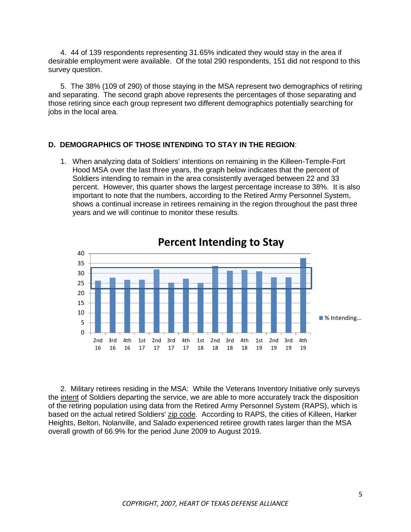4. 44 of 139 respondents representing 31.65% indicated they would stay in the area if desirable employment were available. Of the total 290 respondents, 151 did not respond to this survey question.

5. The 38% (109 of 290) of those staying in the MSA represent two demographics of retiring and separating. The second graph above represents the percentages of those separating and those retiring since each group represent two different demographics potentially searching for jobs in the local area.

#### **D. DEMOGRAPHICS OF THOSE INTENDING TO STAY IN THE REGION**:

1. When analyzing data of Soldiers' intentions on remaining in the Killeen-Temple-Fort Hood MSA over the last three years, the graph below indicates that the percent of Soldiers intending to remain in the area consistently averaged between 22 and 33 percent. However, this quarter shows the largest percentage increase to 38%. It is also important to note that the numbers, according to the Retired Army Personnel System, shows a continual increase in retirees remaining in the region throughout the past three years and we will continue to monitor these results.



**Percent Intending to Stay**

2. Military retirees residing in the MSA: While the Veterans Inventory Initiative only surveys the intent of Soldiers departing the service, we are able to more accurately track the disposition of the retiring population using data from the Retired Army Personnel System (RAPS), which is based on the actual retired Soldiers' zip code. According to RAPS, the cities of Killeen, Harker Heights, Belton, Nolanville, and Salado experienced retiree growth rates larger than the MSA overall growth of 66.9% for the period June 2009 to August 2019.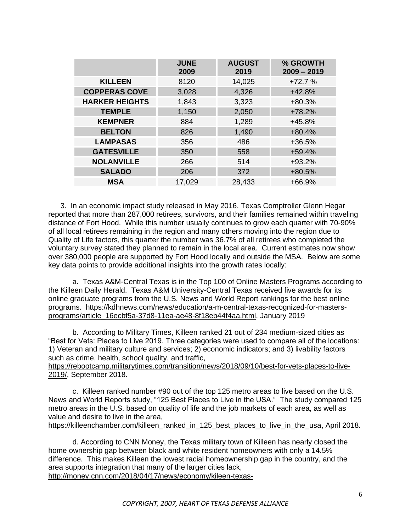|                       | <b>JUNE</b><br>2009 | <b>AUGUST</b><br>2019 | % GROWTH<br>$2009 - 2019$ |
|-----------------------|---------------------|-----------------------|---------------------------|
| <b>KILLEEN</b>        | 8120                | 14,025                | $+72.7%$                  |
| <b>COPPERAS COVE</b>  | 3,028               | 4,326                 | $+42.8%$                  |
| <b>HARKER HEIGHTS</b> | 1,843               | 3,323                 | $+80.3%$                  |
| <b>TEMPLE</b>         | 1,150               | 2,050                 | $+78.2%$                  |
| <b>KEMPNER</b>        | 884                 | 1,289                 | $+45.8%$                  |
| <b>BELTON</b>         | 826                 | 1,490                 | $+80.4%$                  |
| <b>LAMPASAS</b>       | 356                 | 486                   | $+36.5%$                  |
| <b>GATESVILLE</b>     | 350                 | 558                   | $+59.4%$                  |
| <b>NOLANVILLE</b>     | 266                 | 514                   | $+93.2%$                  |
| <b>SALADO</b>         | 206                 | 372                   | +80.5%                    |
| <b>MSA</b>            | 17,029              | 28,433                | $+66.9%$                  |

3. In an economic impact study released in May 2016, Texas Comptroller Glenn Hegar reported that more than 287,000 retirees, survivors, and their families remained within traveling distance of Fort Hood. While this number usually continues to grow each quarter with 70-90% of all local retirees remaining in the region and many others moving into the region due to Quality of Life factors, this quarter the number was 36.7% of all retirees who completed the voluntary survey stated they planned to remain in the local area. Current estimates now show over 380,000 people are supported by Fort Hood locally and outside the MSA. Below are some key data points to provide additional insights into the growth rates locally:

a. Texas A&M-Central Texas is in the Top 100 of Online Masters Programs according to the Killeen Daily Herald. Texas A&M University-Central Texas received five awards for its online graduate programs from the U.S. News and World Report rankings for the best online programs. [https://kdhnews.com/news/education/a-m-central-texas-recognized-for-masters](https://kdhnews.com/news/education/a-m-central-texas-recognized-for-masters-programs/article_16ecbf5a-37d8-11ea-ae48-8f18eb44f4aa.html)[programs/article\\_16ecbf5a-37d8-11ea-ae48-8f18eb44f4aa.html,](https://kdhnews.com/news/education/a-m-central-texas-recognized-for-masters-programs/article_16ecbf5a-37d8-11ea-ae48-8f18eb44f4aa.html) January 2019

b. According to Military Times, Killeen ranked 21 out of 234 medium-sized cities as "Best for Vets: Places to Live 2019. Three categories were used to compare all of the locations: 1) Veteran and military culture and services; 2) economic indicators; and 3) livability factors such as crime, health, school quality, and traffic,

[https://rebootcamp.militarytimes.com/transition/news/2018/09/10/best-for-vets-places-to-live-](https://rebootcamp.militarytimes.com/transition/news/2018/09/10/best-for-vets-places-to-live-2019/)[2019/,](https://rebootcamp.militarytimes.com/transition/news/2018/09/10/best-for-vets-places-to-live-2019/) September 2018.

c. Killeen ranked number #90 out of the top 125 metro areas to live based on the U.S. News and World Reports study, "125 Best Places to Live in the USA." The study compared 125 metro areas in the U.S. based on quality of life and the job markets of each area, as well as value and desire to live in the area, [https://killeenchamber.com/killeen\\_ranked\\_in\\_125\\_best\\_places\\_to\\_live\\_in\\_the\\_usa,](https://killeenchamber.com/killeen_ranked_in_125_best_places_to_live_in_the_usa) April 2018.

d. According to CNN Money, the Texas military town of Killeen has nearly closed the home ownership gap between black and white resident homeowners with only a 14.5% difference. This makes Killeen the lowest racial homeownership gap in the country, and the area supports integration that many of the larger cities lack, [http://money.cnn.com/2018/04/17/news/economy/kileen-texas-](http://money.cnn.com/2018/04/17/news/economy/kileen-texas-homeownership/index.html?section=money_news_economy&utm_source=feedburner&utm_medium=feed&utm_campaign=Feed%3A+rss%2Fmoney_news_economy+%28CNNMoney%3A+Economy+News%29)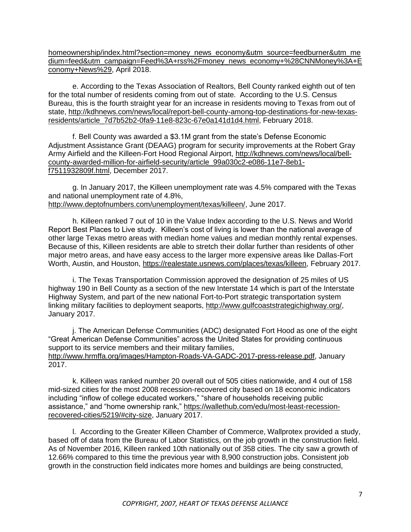[homeownership/index.html?section=money\\_news\\_economy&utm\\_source=feedburner&utm\\_me](http://money.cnn.com/2018/04/17/news/economy/kileen-texas-homeownership/index.html?section=money_news_economy&utm_source=feedburner&utm_medium=feed&utm_campaign=Feed%3A+rss%2Fmoney_news_economy+%28CNNMoney%3A+Economy+News%29) [dium=feed&utm\\_campaign=Feed%3A+rss%2Fmoney\\_news\\_economy+%28CNNMoney%3A+E](http://money.cnn.com/2018/04/17/news/economy/kileen-texas-homeownership/index.html?section=money_news_economy&utm_source=feedburner&utm_medium=feed&utm_campaign=Feed%3A+rss%2Fmoney_news_economy+%28CNNMoney%3A+Economy+News%29) [conomy+News%29,](http://money.cnn.com/2018/04/17/news/economy/kileen-texas-homeownership/index.html?section=money_news_economy&utm_source=feedburner&utm_medium=feed&utm_campaign=Feed%3A+rss%2Fmoney_news_economy+%28CNNMoney%3A+Economy+News%29) April 2018.

e. According to the Texas Association of Realtors, Bell County ranked eighth out of ten for the total number of residents coming from out of state. According to the U.S. Census Bureau, this is the fourth straight year for an increase in residents moving to Texas from out of state, [http://kdhnews.com/news/local/report-bell-county-among-top-destinations-for-new-texas](http://kdhnews.com/news/local/report-bell-county-among-top-destinations-for-new-texas-residents/article_7d7b52b2-0fa9-11e8-823c-67e0a141d1d4.html)[residents/article\\_7d7b52b2-0fa9-11e8-823c-67e0a141d1d4.html,](http://kdhnews.com/news/local/report-bell-county-among-top-destinations-for-new-texas-residents/article_7d7b52b2-0fa9-11e8-823c-67e0a141d1d4.html) February 2018.

f. Bell County was awarded a \$3.1M grant from the state's Defense Economic Adjustment Assistance Grant (DEAAG) program for security improvements at the Robert Gray Army Airfield and the Killeen-Fort Hood Regional Airport, [http://kdhnews.com/news/local/bell](http://kdhnews.com/news/local/bell-county-awarded-million-for-airfield-security/article_99a030c2-e086-11e7-8eb1-f7511932809f.html)[county-awarded-million-for-airfield-security/article\\_99a030c2-e086-11e7-8eb1](http://kdhnews.com/news/local/bell-county-awarded-million-for-airfield-security/article_99a030c2-e086-11e7-8eb1-f7511932809f.html) [f7511932809f.html,](http://kdhnews.com/news/local/bell-county-awarded-million-for-airfield-security/article_99a030c2-e086-11e7-8eb1-f7511932809f.html) December 2017.

g. In January 2017, the Killeen unemployment rate was 4.5% compared with the Texas and national unemployment rate of 4.8%, [http://www.deptofnumbers.com/unemployment/texas/killeen/,](http://www.deptofnumbers.com/unemployment/texas/killeen/) June 2017.

h. Killeen ranked 7 out of 10 in the Value Index according to the U.S. News and World Report Best Places to Live study. Killeen's cost of living is lower than the national average of other large Texas metro areas with median home values and median monthly rental expenses. Because of this, Killeen residents are able to stretch their dollar further than residents of other major metro areas, and have easy access to the larger more expensive areas like Dallas-Fort Worth, Austin, and Houston, [https://realestate.usnews.com/places/texas/killeen,](https://realestate.usnews.com/places/texas/killeen) February 2017.

i. The Texas Transportation Commission approved the designation of 25 miles of US highway 190 in Bell County as a section of the new Interstate 14 which is part of the Interstate Highway System, and part of the new national Fort-to-Port strategic transportation system linking military facilities to deployment seaports, [http://www.gulfcoaststrategichighway.org/,](http://www.gulfcoaststrategichighway.org/) January 2017.

j. The American Defense Communities (ADC) designated Fort Hood as one of the eight "Great American Defense Communities" across the United States for providing continuous support to its service members and their military families, [http://www.hrmffa.org/images/Hampton-Roads-VA-GADC-2017-press-release.pdf,](http://www.hrmffa.org/images/Hampton-Roads-VA-GADC-2017-press-release.pdf) January 2017.

k. Killeen was ranked number 20 overall out of 505 cities nationwide, and 4 out of 158 mid-sized cities for the most 2008 recession-recovered city based on 18 economic indicators including "inflow of college educated workers," "share of households receiving public assistance," and "home ownership rank," [https://wallethub.com/edu/most-least-recession](https://wallethub.com/edu/most-least-recession-recovered-cities/5219/#city-size)[recovered-cities/5219/#city-size,](https://wallethub.com/edu/most-least-recession-recovered-cities/5219/#city-size) January 2017.

l. According to the Greater Killeen Chamber of Commerce, Wallprotex provided a study, based off of data from the Bureau of Labor Statistics, on the job growth in the construction field. As of November 2016, Killeen ranked 10th nationally out of 358 cities. The city saw a growth of 12.66% compared to this time the previous year with 8,900 construction jobs. Consistent job growth in the construction field indicates more homes and buildings are being constructed,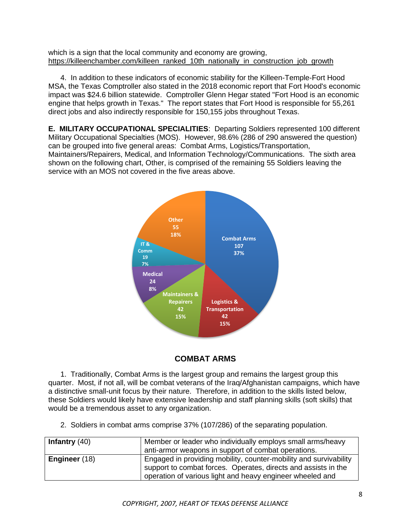which is a sign that the local community and economy are growing, [https://killeenchamber.com/killeen\\_ranked\\_10th\\_nationally\\_in\\_construction\\_job\\_growth](https://killeenchamber.com/killeen_ranked_10th_nationally_in_construction_job_growth)

4. In addition to these indicators of economic stability for the Killeen-Temple-Fort Hood MSA, the Texas Comptroller also stated in the 2018 economic report that Fort Hood's economic impact was \$24.6 billion statewide. Comptroller Glenn Hegar stated "Fort Hood is an economic engine that helps growth in Texas." The report states that Fort Hood is responsible for 55,261 direct jobs and also indirectly responsible for 150,155 jobs throughout Texas.

**E. MILITARY OCCUPATIONAL SPECIALITIES**: Departing Soldiers represented 100 different Military Occupational Specialties (MOS). However, 98.6% (286 of 290 answered the question) can be grouped into five general areas: Combat Arms, Logistics/Transportation, Maintainers/Repairers, Medical, and Information Technology/Communications. The sixth area shown on the following chart, Other, is comprised of the remaining 55 Soldiers leaving the service with an MOS not covered in the five areas above.



# **COMBAT ARMS**

1. Traditionally, Combat Arms is the largest group and remains the largest group this quarter. Most, if not all, will be combat veterans of the Iraq/Afghanistan campaigns, which have a distinctive small-unit focus by their nature. Therefore, in addition to the skills listed below, these Soldiers would likely have extensive leadership and staff planning skills (soft skills) that would be a tremendous asset to any organization.

2. Soldiers in combat arms comprise 37% (107/286) of the separating population.

| Infantry $(40)$ | Member or leader who individually employs small arms/heavy<br>anti-armor weapons in support of combat operations.                                                                                |
|-----------------|--------------------------------------------------------------------------------------------------------------------------------------------------------------------------------------------------|
| Engineer (18)   | Engaged in providing mobility, counter-mobility and survivability<br>support to combat forces. Operates, directs and assists in the<br>operation of various light and heavy engineer wheeled and |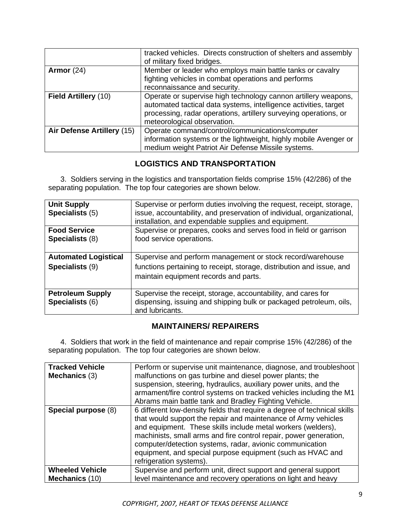|                            | tracked vehicles. Directs construction of shelters and assembly<br>of military fixed bridges.                                                                                                                                         |
|----------------------------|---------------------------------------------------------------------------------------------------------------------------------------------------------------------------------------------------------------------------------------|
| Armor $(24)$               | Member or leader who employs main battle tanks or cavalry<br>fighting vehicles in combat operations and performs<br>reconnaissance and security.                                                                                      |
| Field Artillery (10)       | Operate or supervise high technology cannon artillery weapons,<br>automated tactical data systems, intelligence activities, target<br>processing, radar operations, artillery surveying operations, or<br>meteorological observation. |
| Air Defense Artillery (15) | Operate command/control/communications/computer<br>information systems or the lightweight, highly mobile Avenger or<br>medium weight Patriot Air Defense Missile systems.                                                             |

# **LOGISTICS AND TRANSPORTATION**

3. Soldiers serving in the logistics and transportation fields comprise 15% (42/286) of the separating population. The top four categories are shown below.

| <b>Unit Supply</b><br>Specialists (5)          | Supervise or perform duties involving the request, receipt, storage,<br>issue, accountability, and preservation of individual, organizational,<br>installation, and expendable supplies and equipment. |
|------------------------------------------------|--------------------------------------------------------------------------------------------------------------------------------------------------------------------------------------------------------|
| <b>Food Service</b><br>Specialists (8)         | Supervise or prepares, cooks and serves food in field or garrison<br>food service operations.                                                                                                          |
| <b>Automated Logistical</b><br>Specialists (9) | Supervise and perform management or stock record/warehouse<br>functions pertaining to receipt, storage, distribution and issue, and<br>maintain equipment records and parts.                           |
| <b>Petroleum Supply</b><br>Specialists (6)     | Supervise the receipt, storage, accountability, and cares for<br>dispensing, issuing and shipping bulk or packaged petroleum, oils,<br>and lubricants.                                                 |

# **MAINTAINERS/ REPAIRERS**

4. Soldiers that work in the field of maintenance and repair comprise 15% (42/286) of the separating population. The top four categories are shown below.

| <b>Tracked Vehicle</b><br>Mechanics (3)  | Perform or supervise unit maintenance, diagnose, and troubleshoot<br>malfunctions on gas turbine and diesel power plants; the<br>suspension, steering, hydraulics, auxiliary power units, and the<br>armament/fire control systems on tracked vehicles including the M1<br>Abrams main battle tank and Bradley Fighting Vehicle.                                                                                                     |
|------------------------------------------|--------------------------------------------------------------------------------------------------------------------------------------------------------------------------------------------------------------------------------------------------------------------------------------------------------------------------------------------------------------------------------------------------------------------------------------|
| Special purpose (8)                      | 6 different low-density fields that require a degree of technical skills<br>that would support the repair and maintenance of Army vehicles<br>and equipment. These skills include metal workers (welders),<br>machinists, small arms and fire control repair, power generation,<br>computer/detection systems, radar, avionic communication<br>equipment, and special purpose equipment (such as HVAC and<br>refrigeration systems). |
| <b>Wheeled Vehicle</b><br>Mechanics (10) | Supervise and perform unit, direct support and general support<br>level maintenance and recovery operations on light and heavy                                                                                                                                                                                                                                                                                                       |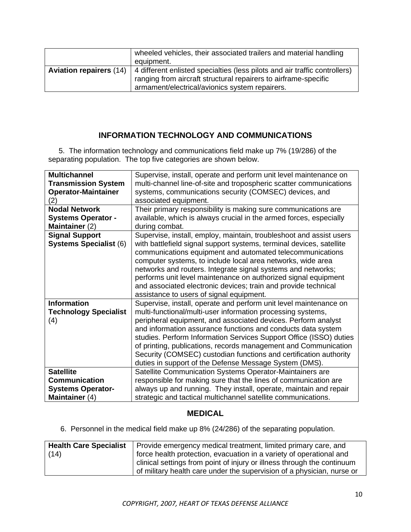|                                | wheeled vehicles, their associated trailers and material handling<br>equipment.                                                                                                                 |
|--------------------------------|-------------------------------------------------------------------------------------------------------------------------------------------------------------------------------------------------|
| <b>Aviation repairers (14)</b> | 4 different enlisted specialties (less pilots and air traffic controllers)<br>ranging from aircraft structural repairers to airframe-specific<br>armament/electrical/avionics system repairers. |

#### **INFORMATION TECHNOLOGY AND COMMUNICATIONS**

 5. The information technology and communications field make up 7% (19/286) of the separating population. The top five categories are shown below.

| <b>Multichannel</b>                                       | Supervise, install, operate and perform unit level maintenance on                                                                                                                                                                                                                                                                                                                                                                                                                                                                         |
|-----------------------------------------------------------|-------------------------------------------------------------------------------------------------------------------------------------------------------------------------------------------------------------------------------------------------------------------------------------------------------------------------------------------------------------------------------------------------------------------------------------------------------------------------------------------------------------------------------------------|
| <b>Transmission System</b>                                | multi-channel line-of-site and tropospheric scatter communications                                                                                                                                                                                                                                                                                                                                                                                                                                                                        |
| <b>Operator-Maintainer</b>                                | systems, communications security (COMSEC) devices, and                                                                                                                                                                                                                                                                                                                                                                                                                                                                                    |
| (2)                                                       | associated equipment.                                                                                                                                                                                                                                                                                                                                                                                                                                                                                                                     |
| <b>Nodal Network</b>                                      | Their primary responsibility is making sure communications are                                                                                                                                                                                                                                                                                                                                                                                                                                                                            |
| <b>Systems Operator -</b>                                 | available, which is always crucial in the armed forces, especially                                                                                                                                                                                                                                                                                                                                                                                                                                                                        |
| Maintainer (2)                                            | during combat.                                                                                                                                                                                                                                                                                                                                                                                                                                                                                                                            |
| <b>Signal Support</b><br><b>Systems Specialist (6)</b>    | Supervise, install, employ, maintain, troubleshoot and assist users<br>with battlefield signal support systems, terminal devices, satellite<br>communications equipment and automated telecommunications<br>computer systems, to include local area networks, wide area<br>networks and routers. Integrate signal systems and networks;<br>performs unit level maintenance on authorized signal equipment<br>and associated electronic devices; train and provide technical<br>assistance to users of signal equipment.                   |
| <b>Information</b><br><b>Technology Specialist</b><br>(4) | Supervise, install, operate and perform unit level maintenance on<br>multi-functional/multi-user information processing systems,<br>peripheral equipment, and associated devices. Perform analyst<br>and information assurance functions and conducts data system<br>studies. Perform Information Services Support Office (ISSO) duties<br>of printing, publications, records management and Communication<br>Security (COMSEC) custodian functions and certification authority<br>duties in support of the Defense Message System (DMS). |
| <b>Satellite</b>                                          | Satellite Communication Systems Operator-Maintainers are                                                                                                                                                                                                                                                                                                                                                                                                                                                                                  |
| <b>Communication</b>                                      | responsible for making sure that the lines of communication are                                                                                                                                                                                                                                                                                                                                                                                                                                                                           |
| <b>Systems Operator-</b>                                  | always up and running. They install, operate, maintain and repair                                                                                                                                                                                                                                                                                                                                                                                                                                                                         |
| Maintainer (4)                                            | strategic and tactical multichannel satellite communications.                                                                                                                                                                                                                                                                                                                                                                                                                                                                             |

#### **MEDICAL**

6. Personnel in the medical field make up 8% (24/286) of the separating population.

| <b>Health Care Specialist</b> | Provide emergency medical treatment, limited primary care, and          |
|-------------------------------|-------------------------------------------------------------------------|
| (14)                          | force health protection, evacuation in a variety of operational and     |
|                               | clinical settings from point of injury or illness through the continuum |
|                               | of military health care under the supervision of a physician, nurse or  |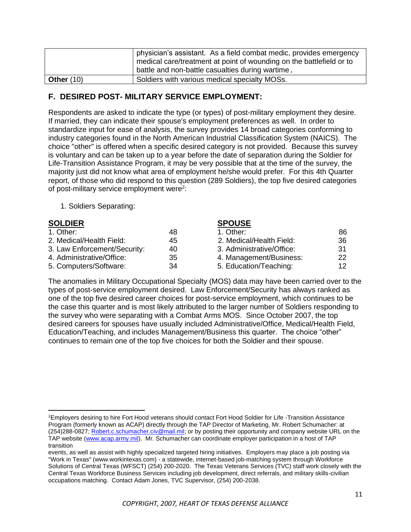|              | physician's assistant. As a field combat medic, provides emergency<br>medical care/treatment at point of wounding on the battlefield or to<br>battle and non-battle casualties during wartime. |
|--------------|------------------------------------------------------------------------------------------------------------------------------------------------------------------------------------------------|
| Other $(10)$ | Soldiers with various medical specialty MOSs.                                                                                                                                                  |

## **F. DESIRED POST- MILITARY SERVICE EMPLOYMENT:**

Respondents are asked to indicate the type (or types) of post-military employment they desire. If married, they can indicate their spouse's employment preferences as well. In order to standardize input for ease of analysis, the survey provides 14 broad categories conforming to industry categories found in the North American Industrial Classification System (NAICS). The choice "other" is offered when a specific desired category is not provided. Because this survey is voluntary and can be taken up to a year before the date of separation during the Soldier for Life-Transition Assistance Program, it may be very possible that at the time of the survey, the majority just did not know what area of employment he/she would prefer. For this 4th Quarter report, of those who did respond to this question (289 Soldiers), the top five desired categories of post-military service employment were<sup>2</sup>:

1. Soldiers Separating:

| <b>SOLDIER</b>               |    | <b>SPOUSE</b>             |     |
|------------------------------|----|---------------------------|-----|
| 1. Other:                    | 48 | 1. Other:                 | 86  |
| 2. Medical/Health Field:     | 45 | 2. Medical/Health Field:  | 36  |
| 3. Law Enforcement/Security: | 40 | 3. Administrative/Office: | -31 |
| 4. Administrative/Office:    | 35 | 4. Management/Business:   | 22  |
| 5. Computers/Software:       | 34 | 5. Education/Teaching:    | 12  |

The anomalies in Military Occupational Specialty (MOS) data may have been carried over to the types of post-service employment desired. Law Enforcement/Security has always ranked as one of the top five desired career choices for post-service employment, which continues to be the case this quarter and is most likely attributed to the larger number of Soldiers responding to the survey who were separating with a Combat Arms MOS. Since October 2007, the top desired careers for spouses have usually included Administrative/Office, Medical/Health Field, Education/Teaching, and includes Management/Business this quarter. The choice "other" continues to remain one of the top five choices for both the Soldier and their spouse.

<sup>&</sup>lt;sup>2</sup>Employers desiring to hire Fort Hood veterans should contact Fort Hood Soldier for Life -Transition Assistance Program (formerly known as ACAP) directly through the TAP Director of Marketing, Mr. Robert Schumacher: at (254)288-0827; [Robert.c.schumacher.civ@mail.mil;](mailto:Robert.c.schumacher.civ@mail.mil) or by posting their opportunity and company website URL on the TAP website [\(www.acap.army.mil\)](http://www.acap.army.mil/). Mr. Schumacher can coordinate employer participation in a host of TAP transition

events, as well as assist with highly specialized targeted hiring initiatives. Employers may place a job posting via "Work in Texas" (www.workintexas.com) - a statewide, internet-based job-matching system through Workforce Solutions of Central Texas (WFSCT) (254) 200-2020. The Texas Veterans Services (TVC) staff work closely with the Central Texas Workforce Business Services including job development, direct referrals, and military skills-civilian occupations matching. Contact Adam Jones, TVC Supervisor, (254) 200-2038.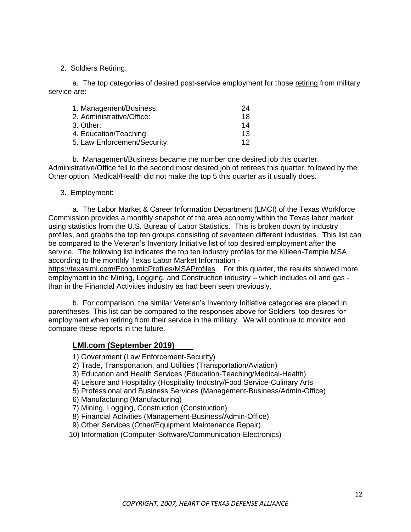2. Soldiers Retiring:

a. The top categories of desired post-service employment for those retiring from military service are:

| 1. Management/Business:      | 24  |
|------------------------------|-----|
| 2. Administrative/Office:    | 18  |
| 3. Other:                    | 14  |
| 4. Education/Teaching:       | 13  |
| 5. Law Enforcement/Security: | 12. |

b. Management/Business became the number one desired job this quarter. Administrative/Office fell to the second most desired job of retirees this quarter, followed by the Other option. Medical/Health did not make the top 5 this quarter as it usually does.

3. Employment:

a. The Labor Market & Career Information Department (LMCI) of the Texas Workforce Commission provides a monthly snapshot of the area economy within the Texas labor market using statistics from the U.S. Bureau of Labor Statistics. This is broken down by industry profiles, and graphs the top ten groups consisting of seventeen different industries. This list can be compared to the Veteran's Inventory Initiative list of top desired employment after the service. The following list indicates the top ten industry profiles for the Killeen-Temple MSA according to the monthly Texas Labor Market Information -

<https://texaslmi.com/EconomicProfiles/MSAProfiles>. For this quarter, the results showed more employment in the Mining, Logging, and Construction industry – which includes oil and gas than in the Financial Activities industry as had been seen previously.

b. For comparison, the similar Veteran's Inventory Initiative categories are placed in parentheses. This list can be compared to the responses above for Soldiers' top desires for employment when retiring from their service in the military. We will continue to monitor and compare these reports in the future.

#### **LMI.com (September 2019)**

1) Government (Law Enforcement-Security)

- 2) Trade, Transportation, and Utilities (Transportation/Aviation)
- 3) Education and Health Services (Education-Teaching/Medical-Health)
- 4) Leisure and Hospitality (Hospitality Industry/Food Service-Culinary Arts
- 5) Professional and Business Services (Management-Business/Admin-Office)
- 6) Manufacturing (Manufacturing)
- 7) Mining, Logging, Construction (Construction)
- 8) Financial Activities (Management-Business/Admin-Office)
- 9) Other Services (Other/Equipment Maintenance Repair)
- 10) Information (Computer-Software/Communication-Electronics)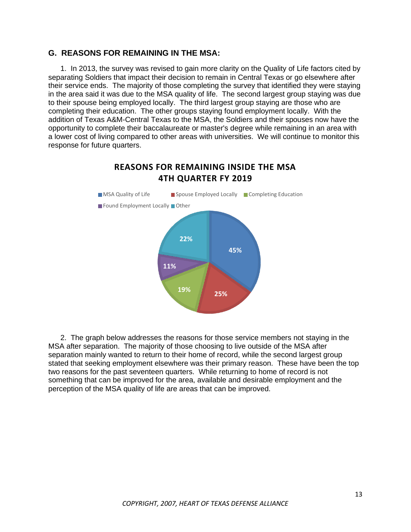#### **G. REASONS FOR REMAINING IN THE MSA:**

1. In 2013, the survey was revised to gain more clarity on the Quality of Life factors cited by separating Soldiers that impact their decision to remain in Central Texas or go elsewhere after their service ends. The majority of those completing the survey that identified they were staying in the area said it was due to the MSA quality of life. The second largest group staying was due to their spouse being employed locally. The third largest group staying are those who are completing their education. The other groups staying found employment locally. With the addition of Texas A&M-Central Texas to the MSA, the Soldiers and their spouses now have the opportunity to complete their baccalaureate or master's degree while remaining in an area with a lower cost of living compared to other areas with universities. We will continue to monitor this response for future quarters.

**REASONS FOR REMAINING INSIDE THE MSA** 



2. The graph below addresses the reasons for those service members not staying in the MSA after separation. The majority of those choosing to live outside of the MSA after separation mainly wanted to return to their home of record, while the second largest group stated that seeking employment elsewhere was their primary reason. These have been the top two reasons for the past seventeen quarters. While returning to home of record is not something that can be improved for the area, available and desirable employment and the perception of the MSA quality of life are areas that can be improved.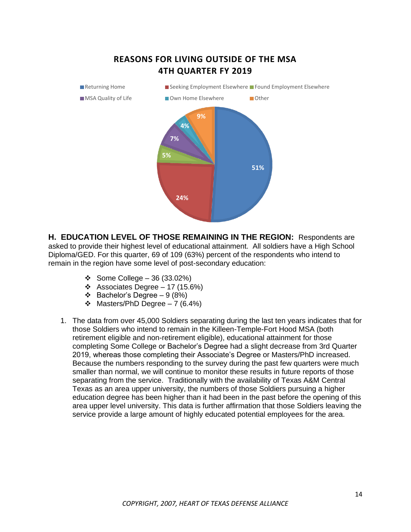

**H. EDUCATION LEVEL OF THOSE REMAINING IN THE REGION:** Respondents are asked to provide their highest level of educational attainment. All soldiers have a High School Diploma/GED. For this quarter, 69 of 109 (63%) percent of the respondents who intend to remain in the region have some level of post-secondary education:

- ❖ Some College 36 (33.02%)
- ❖ Associates Degree 17 (15.6%)
- ❖ Bachelor's Degree 9 (8%)
- ❖ Masters/PhD Degree 7 (6.4%)
- 1. The data from over 45,000 Soldiers separating during the last ten years indicates that for those Soldiers who intend to remain in the Killeen-Temple-Fort Hood MSA (both retirement eligible and non-retirement eligible), educational attainment for those completing Some College or Bachelor's Degree had a slight decrease from 3rd Quarter 2019, whereas those completing their Associate's Degree or Masters/PhD increased. Because the numbers responding to the survey during the past few quarters were much smaller than normal, we will continue to monitor these results in future reports of those separating from the service. Traditionally with the availability of Texas A&M Central Texas as an area upper university, the numbers of those Soldiers pursuing a higher education degree has been higher than it had been in the past before the opening of this area upper level university. This data is further affirmation that those Soldiers leaving the service provide a large amount of highly educated potential employees for the area.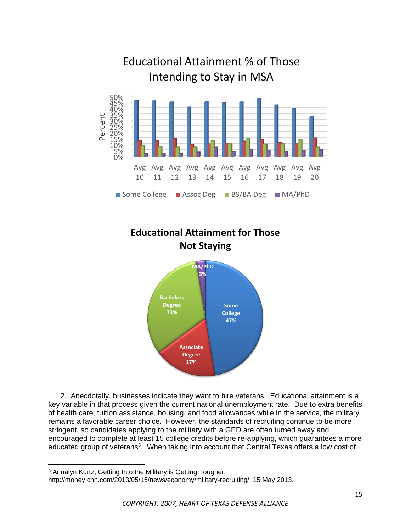





2. Anecdotally, businesses indicate they want to hire veterans. Educational attainment is a key variable in that process given the current national unemployment rate. Due to extra benefits of health care, tuition assistance, housing, and food allowances while in the service, the military remains a favorable career choice. However, the standards of recruiting continue to be more stringent, so candidates applying to the military with a GED are often turned away and encouraged to complete at least 15 college credits before re-applying, which guarantees a more educated group of veterans<sup>3</sup>. When taking into account that Central Texas offers a low cost of

<sup>3</sup> Annalyn Kurtz, Getting Into the Military is Getting Tougher,

http://money.cnn.com/2013/05/15/news/economy/military-recruiting/, 15 May 2013.